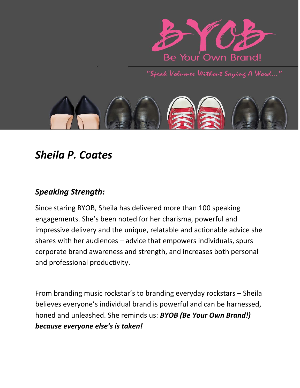

"Speak Volumes Without Saying A Word..."



# *Sheila P. Coates*

## *Speaking Strength:*

Since staring BYOB, Sheila has delivered more than 100 speaking engagements. She's been noted for her charisma, powerful and impressive delivery and the unique, relatable and actionable advice she shares with her audiences – advice that empowers individuals, spurs corporate brand awareness and strength, and increases both personal and professional productivity.

From branding music rockstar's to branding everyday rockstars – Sheila believes everyone's individual brand is powerful and can be harnessed, honed and unleashed. She reminds us: *BYOB (Be Your Own Brand!) because everyone else's is taken!*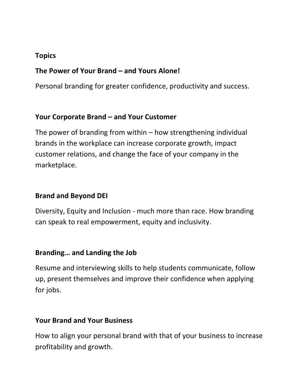#### **Topics**

#### **The Power of Your Brand – and Yours Alone!**

Personal branding for greater confidence, productivity and success.

#### **Your Corporate Brand – and Your Customer**

The power of branding from within – how strengthening individual brands in the workplace can increase corporate growth, impact customer relations, and change the face of your company in the marketplace.

#### **Brand and Beyond DEI**

Diversity, Equity and Inclusion - much more than race. How branding can speak to real empowerment, equity and inclusivity.

#### **Branding… and Landing the Job**

Resume and interviewing skills to help students communicate, follow up, present themselves and improve their confidence when applying for jobs.

#### **Your Brand and Your Business**

How to align your personal brand with that of your business to increase profitability and growth.